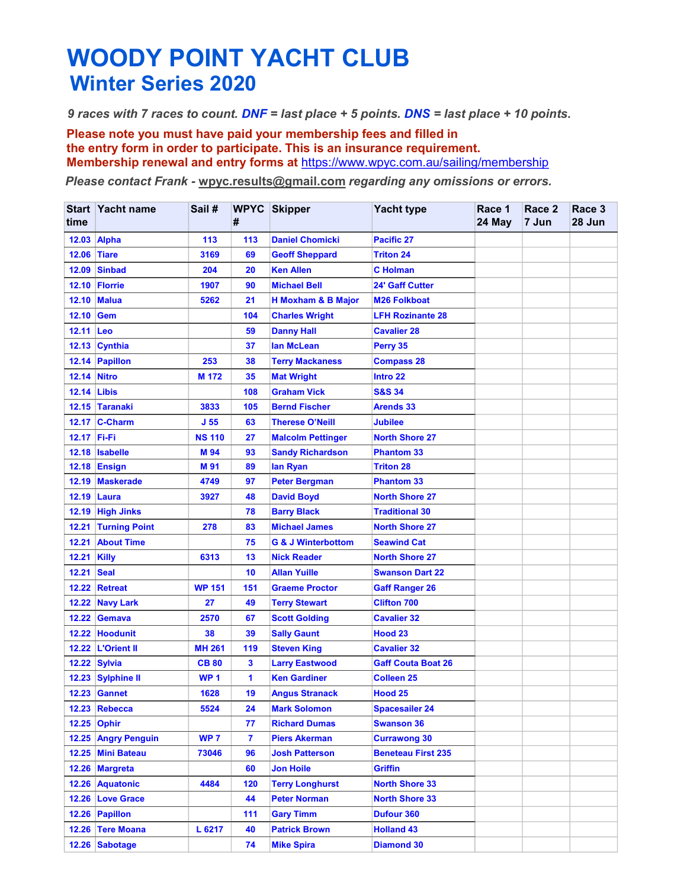## WOODY POINT YACHT CLUB WOODY POINT YACHT CLUB<br>Winter Series 2020<br>Praces with 7 races to count. DNF = last place + 5 points. DNS = last place +<br>Please note you must have paid your membership fees and filled in<br>the entry form in order to participa

WOODY POINT YACHT CLUB<br>
9 races with 7 races to count. DNF = last place + 5 points. DNS = last place + 10 points.<br>
Please note you must have paid your membership fees and filled in<br>
the entry form in order to participate. **WOODY POINT YACHT CLUB**<br> *Praces with 7 races to count. DNF* = *last place* + 5 *points. DNS* = *last place* + 10 *points.*<br>
Please note you must have paid your membership fees and filled in<br>
the entry form in order to p the entry form in order to participate. This is an insurance requirement.<br>Membership renewal and entry forms at https://www.wpyc.com.au/sailing/membership

|                                  | <b>Winter Series 2020</b>             |                 |                      | <b>WOODY POINT YACHT CLUB</b>                                                                                                                  |                                                 |                  |                 |                  |
|----------------------------------|---------------------------------------|-----------------|----------------------|------------------------------------------------------------------------------------------------------------------------------------------------|-------------------------------------------------|------------------|-----------------|------------------|
|                                  |                                       |                 |                      |                                                                                                                                                |                                                 |                  |                 |                  |
|                                  |                                       |                 |                      |                                                                                                                                                |                                                 |                  |                 |                  |
|                                  |                                       |                 |                      |                                                                                                                                                |                                                 |                  |                 |                  |
|                                  |                                       |                 |                      | 9 races with 7 races to count. DNF = last place + 5 points. DNS = last place + 10 points.                                                      |                                                 |                  |                 |                  |
|                                  |                                       |                 |                      | Please note you must have paid your membership fees and filled in<br>the entry form in order to participate. This is an insurance requirement. |                                                 |                  |                 |                  |
|                                  |                                       |                 |                      | Membership renewal and entry forms at https://www.wpyc.com.au/sailing/membership                                                               |                                                 |                  |                 |                  |
|                                  |                                       |                 |                      | Please contact Frank - wpyc.results@gmail.com regarding any omissions or errors.                                                               |                                                 |                  |                 |                  |
|                                  |                                       |                 |                      |                                                                                                                                                |                                                 |                  |                 |                  |
| time                             | Start Yacht name                      | Sail #          | #                    | <b>WPYC Skipper</b>                                                                                                                            | <b>Yacht type</b>                               | Race 1<br>24 May | Race 2<br>7 Jun | Race 3<br>28 Jun |
|                                  | 12.03 Alpha                           | 113             | 113                  | <b>Daniel Chomicki</b>                                                                                                                         | Pacific 27                                      |                  |                 |                  |
|                                  | <b>12.06 Tiare</b>                    | 3169            | 69                   | <b>Geoff Sheppard</b>                                                                                                                          | <b>Triton 24</b>                                |                  |                 |                  |
|                                  | 12.09 Sinbad                          | 204             | 20                   | <b>Ken Allen</b>                                                                                                                               | <b>C</b> Holman                                 |                  |                 |                  |
|                                  | 12.10 Florrie                         | 1907            | 90                   | <b>Michael Bell</b>                                                                                                                            | 24' Gaff Cutter                                 |                  |                 |                  |
|                                  | <b>12.10 Malua</b>                    | 5262            | 21                   | <b>H Moxham &amp; B Major</b>                                                                                                                  | <b>M26 Folkboat</b>                             |                  |                 |                  |
| 12.10 Gem<br>12.11 Leo           |                                       |                 | 104<br>59            | <b>Charles Wright</b><br><b>Danny Hall</b>                                                                                                     | <b>LFH Rozinante 28</b><br><b>Cavalier 28</b>   |                  |                 |                  |
|                                  | 12.13 Cynthia                         |                 | 37                   | lan McLean                                                                                                                                     | Perry 35                                        |                  |                 |                  |
|                                  | 12.14 Papillon                        | 253             | 38                   | <b>Terry Mackaness</b>                                                                                                                         | <b>Compass 28</b>                               |                  |                 |                  |
| <b>12.14 Nitro</b>               |                                       | M 172           | 35                   | <b>Mat Wright</b>                                                                                                                              | Intro 22                                        |                  |                 |                  |
| <b>12.14 Libis</b>               |                                       |                 | 108                  | <b>Graham Vick</b>                                                                                                                             | <b>S&amp;S 34</b>                               |                  |                 |                  |
|                                  | 12.15 Taranaki                        | 3833            | 105                  | <b>Bernd Fischer</b>                                                                                                                           | <b>Arends 33</b>                                |                  |                 |                  |
|                                  | 12.17 C-Charm                         | J <sub>55</sub> | 63                   | <b>Therese O'Neill</b>                                                                                                                         | <b>Jubilee</b>                                  |                  |                 |                  |
| 12.17 Fi-Fi                      |                                       | <b>NS 110</b>   | 27                   | <b>Malcolm Pettinger</b>                                                                                                                       | <b>North Shore 27</b>                           |                  |                 |                  |
|                                  | 12.18 Isabelle<br><b>12.18 Ensign</b> | M 94<br>M 91    | 93<br>89             | <b>Sandy Richardson</b><br>lan Ryan                                                                                                            | <b>Phantom 33</b><br><b>Triton 28</b>           |                  |                 |                  |
|                                  | 12.19 Maskerade                       | 4749            | 97                   | <b>Peter Bergman</b>                                                                                                                           | <b>Phantom 33</b>                               |                  |                 |                  |
|                                  | 12.19 Laura                           | 3927            | 48                   | <b>David Boyd</b>                                                                                                                              | <b>North Shore 27</b>                           |                  |                 |                  |
|                                  | 12.19 High Jinks                      |                 | 78                   | <b>Barry Black</b>                                                                                                                             | <b>Traditional 30</b>                           |                  |                 |                  |
|                                  | 12.21 Turning Point                   | 278             | 83                   | <b>Michael James</b>                                                                                                                           | <b>North Shore 27</b>                           |                  |                 |                  |
|                                  | 12.21 About Time                      |                 | 75                   | <b>G &amp; J Winterbottom</b>                                                                                                                  | <b>Seawind Cat</b>                              |                  |                 |                  |
| <b>12.21 Killy</b><br>12.21 Seal |                                       | 6313            | 13                   | <b>Nick Reader</b><br><b>Allan Yuille</b>                                                                                                      | <b>North Shore 27</b><br><b>Swanson Dart 22</b> |                  |                 |                  |
|                                  | 12.22 Retreat                         | <b>WP 151</b>   | 10<br>151            | <b>Graeme Proctor</b>                                                                                                                          | <b>Gaff Ranger 26</b>                           |                  |                 |                  |
|                                  | 12.22 Navy Lark                       | 27              | 49                   | <b>Terry Stewart</b>                                                                                                                           | <b>Clifton 700</b>                              |                  |                 |                  |
|                                  | 12.22 Gemava                          | 2570            | 67                   | <b>Scott Golding</b>                                                                                                                           | <b>Cavalier 32</b>                              |                  |                 |                  |
|                                  | 12.22 Hoodunit                        | 38              | 39                   | <b>Sally Gaunt</b>                                                                                                                             | Hood <sub>23</sub>                              |                  |                 |                  |
|                                  | 12.22   L'Orient II                   | <b>MH 261</b>   | 119                  | <b>Steven King</b>                                                                                                                             | <b>Cavalier 32</b>                              |                  |                 |                  |
|                                  | 12.22 Sylvia                          | <b>CB 80</b>    | 3                    | <b>Larry Eastwood</b>                                                                                                                          | <b>Gaff Couta Boat 26</b>                       |                  |                 |                  |
|                                  | 12.23 Sylphine II                     | WP <sub>1</sub> | $\blacktriangleleft$ | <b>Ken Gardiner</b>                                                                                                                            | <b>Colleen 25</b>                               |                  |                 |                  |
|                                  | <b>12.23 Gannet</b><br>12.23 Rebecca  | 1628<br>5524    | 19<br>24             | <b>Angus Stranack</b><br><b>Mark Solomon</b>                                                                                                   | Hood 25<br><b>Spacesailer 24</b>                |                  |                 |                  |
|                                  | 12.25 Ophir                           |                 | 77                   | <b>Richard Dumas</b>                                                                                                                           | <b>Swanson 36</b>                               |                  |                 |                  |
|                                  | 12.25 Angry Penguin                   | WP <sub>7</sub> | 7                    | <b>Piers Akerman</b>                                                                                                                           | <b>Currawong 30</b>                             |                  |                 |                  |
|                                  | 12.25 Mini Bateau                     | 73046           | 96                   | <b>Josh Patterson</b>                                                                                                                          | <b>Beneteau First 235</b>                       |                  |                 |                  |
|                                  | 12.26 Margreta                        |                 | 60                   | <b>Jon Hoile</b>                                                                                                                               | <b>Griffin</b>                                  |                  |                 |                  |
|                                  | 12.26 Aquatonic                       | 4484            | 120                  | <b>Terry Longhurst</b>                                                                                                                         | <b>North Shore 33</b>                           |                  |                 |                  |
|                                  | 12.26 Love Grace                      |                 | 44                   | <b>Peter Norman</b>                                                                                                                            | <b>North Shore 33</b>                           |                  |                 |                  |
|                                  | 12.26 Papillon                        |                 | 111                  | <b>Gary Timm</b>                                                                                                                               | Dufour 360                                      |                  |                 |                  |
|                                  | 12.26 Tere Moana<br>12.26 Sabotage    | L 6217          | 40                   | <b>Patrick Brown</b><br><b>Mike Spira</b>                                                                                                      | <b>Holland 43</b>                               |                  |                 |                  |
|                                  |                                       |                 | 74                   |                                                                                                                                                | <b>Diamond 30</b>                               |                  |                 |                  |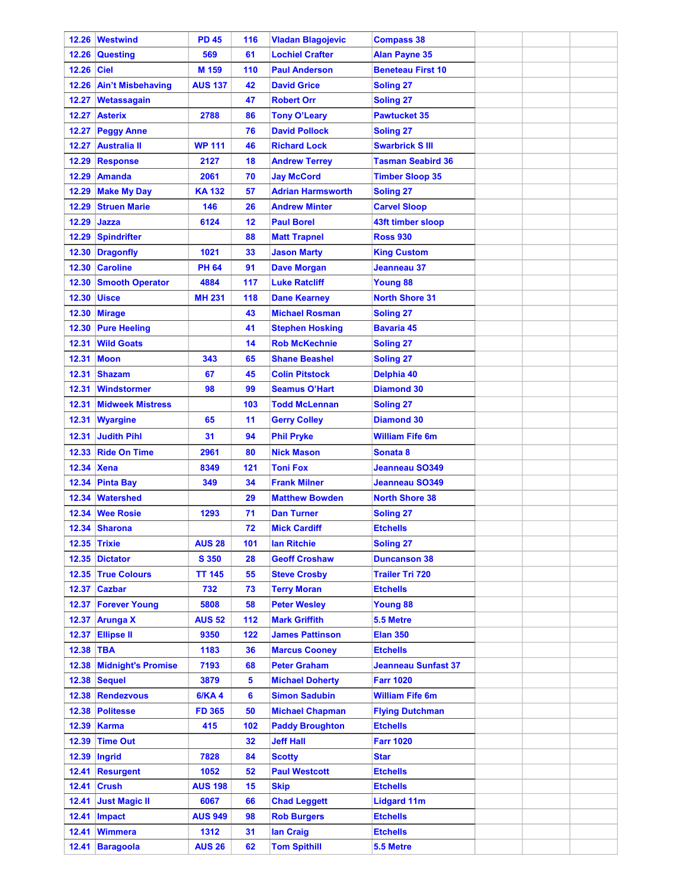|            | 12.26 Westwind           | <b>PD 45</b>   | 116 | <b>Vladan Blagojevic</b> | <b>Compass 38</b>          |  |  |
|------------|--------------------------|----------------|-----|--------------------------|----------------------------|--|--|
| 12.26      | Questing                 | 569            | 61  | <b>Lochiel Crafter</b>   | <b>Alan Payne 35</b>       |  |  |
| 12.26 Ciel |                          | M 159          | 110 | <b>Paul Anderson</b>     | <b>Beneteau First 10</b>   |  |  |
| 12.26      | <b>Ain't Misbehaving</b> | <b>AUS 137</b> | 42  | <b>David Grice</b>       | <b>Soling 27</b>           |  |  |
| 12.27      | Wetassagain              |                | 47  | <b>Robert Orr</b>        | <b>Soling 27</b>           |  |  |
| 12.27      | <b>Asterix</b>           | 2788           | 86  | <b>Tony O'Leary</b>      | <b>Pawtucket 35</b>        |  |  |
|            | 12.27 Peggy Anne         |                | 76  | <b>David Pollock</b>     | <b>Soling 27</b>           |  |  |
| 12.27      | <b>Australia II</b>      | <b>WP 111</b>  | 46  | <b>Richard Lock</b>      | <b>Swarbrick SIII</b>      |  |  |
| 12.29      | <b>Response</b>          | 2127           | 18  | <b>Andrew Terrey</b>     | <b>Tasman Seabird 36</b>   |  |  |
| 12.29      | Amanda                   | 2061           | 70  | <b>Jay McCord</b>        | <b>Timber Sloop 35</b>     |  |  |
| 12.29      | <b>Make My Day</b>       | <b>KA132</b>   | 57  | <b>Adrian Harmsworth</b> | <b>Soling 27</b>           |  |  |
| 12.29      | <b>Struen Marie</b>      | 146            | 26  | <b>Andrew Minter</b>     | <b>Carvel Sloop</b>        |  |  |
| 12.29      | Jazza                    | 6124           | 12  | <b>Paul Borel</b>        | 43ft timber sloop          |  |  |
| 12.29      | <b>Spindrifter</b>       |                | 88  | <b>Matt Trapnel</b>      | <b>Ross 930</b>            |  |  |
|            | 12.30 Dragonfly          | 1021           | 33  | <b>Jason Marty</b>       | <b>King Custom</b>         |  |  |
|            | 12.30 Caroline           | <b>PH 64</b>   | 91  | <b>Dave Morgan</b>       | Jeanneau 37                |  |  |
| 12.30      | <b>Smooth Operator</b>   | 4884           | 117 | <b>Luke Ratcliff</b>     | <b>Young 88</b>            |  |  |
| 12.30      | <b>Uisce</b>             | <b>MH 231</b>  | 118 | <b>Dane Kearney</b>      | <b>North Shore 31</b>      |  |  |
|            |                          |                |     |                          |                            |  |  |
|            | 12.30 Mirage             |                | 43  | <b>Michael Rosman</b>    | <b>Soling 27</b>           |  |  |
|            | 12.30 Pure Heeling       |                | 41  | <b>Stephen Hosking</b>   | Bavaria 45                 |  |  |
| 12.31      | <b>Wild Goats</b>        |                | 14  | <b>Rob McKechnie</b>     | Soling 27                  |  |  |
| 12.31      | <b>Moon</b>              | 343            | 65  | <b>Shane Beashel</b>     | <b>Soling 27</b>           |  |  |
| 12.31      | <b>Shazam</b>            | 67             | 45  | <b>Colin Pitstock</b>    | Delphia 40                 |  |  |
| 12.31      | Windstormer              | 98             | 99  | <b>Seamus O'Hart</b>     | <b>Diamond 30</b>          |  |  |
|            | 12.31 Midweek Mistress   |                | 103 | <b>Todd McLennan</b>     | <b>Soling 27</b>           |  |  |
| 12.31      | <b>Wyargine</b>          | 65             | 11  | <b>Gerry Colley</b>      | <b>Diamond 30</b>          |  |  |
| 12.31      | <b>Judith Pihl</b>       | 31             | 94  | <b>Phil Pryke</b>        | <b>William Fife 6m</b>     |  |  |
|            | 12.33 Ride On Time       | 2961           | 80  | <b>Nick Mason</b>        | Sonata 8                   |  |  |
|            | 12.34 Xena               | 8349           | 121 | <b>Toni Fox</b>          | Jeanneau SO349             |  |  |
|            | 12.34 Pinta Bay          | 349            | 34  | <b>Frank Milner</b>      | Jeanneau SO349             |  |  |
| 12.34      | <b>Watershed</b>         |                | 29  | <b>Matthew Bowden</b>    | <b>North Shore 38</b>      |  |  |
|            | 12.34 Wee Rosie          | 1293           | 71  | <b>Dan Turner</b>        | <b>Soling 27</b>           |  |  |
|            | 12.34 Sharona            |                | 72  | <b>Mick Cardiff</b>      | <b>Etchells</b>            |  |  |
|            | <b>12.35 Trixie</b>      | <b>AUS 28</b>  | 101 | <b>Ian Ritchie</b>       | <b>Soling 27</b>           |  |  |
|            | 12.35 Dictator           | S 350          | 28  | <b>Geoff Croshaw</b>     | <b>Duncanson 38</b>        |  |  |
|            | 12.35 True Colours       | <b>TT 145</b>  | 55  | <b>Steve Crosby</b>      | <b>Trailer Tri 720</b>     |  |  |
|            | 12.37 Cazbar             | 732            | 73  | <b>Terry Moran</b>       | <b>Etchells</b>            |  |  |
|            | 12.37 Forever Young      | 5808           | 58  | <b>Peter Wesley</b>      | Young 88                   |  |  |
|            | 12.37 Arunga X           | <b>AUS 52</b>  | 112 | <b>Mark Griffith</b>     | 5.5 Metre                  |  |  |
|            | 12.37 Ellipse II         | 9350           | 122 | <b>James Pattinson</b>   | <b>Elan 350</b>            |  |  |
| 12.38 TBA  |                          | 1183           | 36  | <b>Marcus Cooney</b>     | <b>Etchells</b>            |  |  |
|            | 12.38 Midnight's Promise | 7193           | 68  | <b>Peter Graham</b>      | <b>Jeanneau Sunfast 37</b> |  |  |
|            | 12.38 Sequel             | 3879           | 5   | <b>Michael Doherty</b>   | <b>Farr 1020</b>           |  |  |
|            | 12.38 Rendezvous         | <b>6/KA4</b>   | 6   | <b>Simon Sadubin</b>     | <b>William Fife 6m</b>     |  |  |
|            | 12.38 Politesse          | <b>FD 365</b>  | 50  | <b>Michael Chapman</b>   | <b>Flying Dutchman</b>     |  |  |
|            | 12.39 Karma              | 415            | 102 | <b>Paddy Broughton</b>   | <b>Etchells</b>            |  |  |
|            | 12.39 Time Out           |                | 32  | <b>Jeff Hall</b>         | <b>Farr 1020</b>           |  |  |
|            | 12.39 Ingrid             | 7828           | 84  | <b>Scotty</b>            | <b>Star</b>                |  |  |
|            | 12.41 Resurgent          | 1052           | 52  | <b>Paul Westcott</b>     | <b>Etchells</b>            |  |  |
|            | $12.41$ Crush            | <b>AUS 198</b> | 15  | <b>Skip</b>              | <b>Etchells</b>            |  |  |
| 12.41      | <b>Just Magic II</b>     | 6067           | 66  | <b>Chad Leggett</b>      | <b>Lidgard 11m</b>         |  |  |
|            | 12.41 Impact             | <b>AUS 949</b> | 98  | <b>Rob Burgers</b>       | <b>Etchells</b>            |  |  |
| 12.41      | <b>Wimmera</b>           | 1312           | 31  | lan Craig                | <b>Etchells</b>            |  |  |
|            | 12.41 Baragoola          | <b>AUS 26</b>  | 62  | <b>Tom Spithill</b>      | 5.5 Metre                  |  |  |
|            |                          |                |     |                          |                            |  |  |